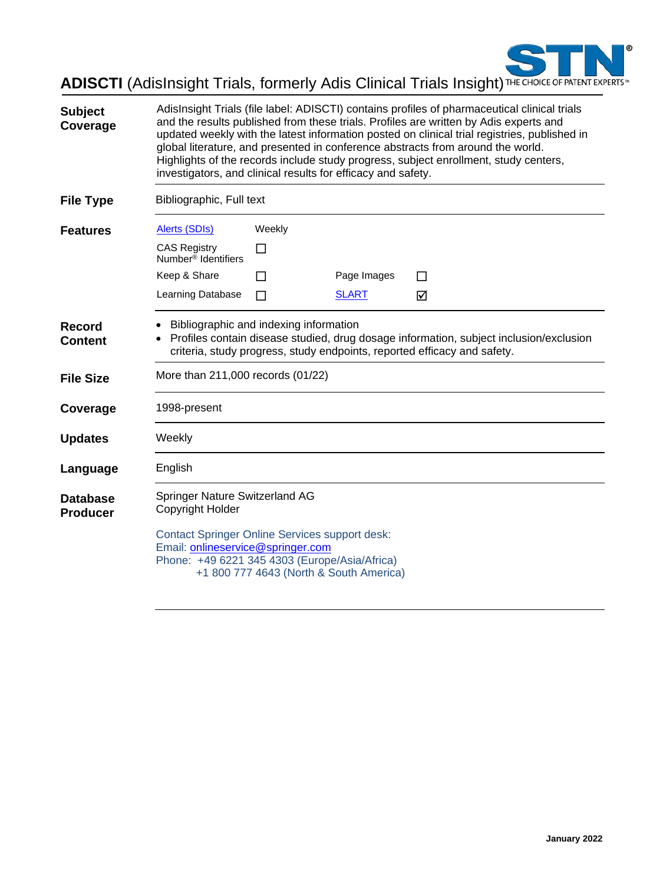

# **ADISCTI** (AdisInsight Trials, formerly Adis Clinical Trials Insight) THE CHOICE OF PATENT EXPERTS

| <b>Subject</b><br>Coverage         | investigators, and clinical results for efficacy and safety.                                                                                                                                                 |                                         |              | AdisInsight Trials (file label: ADISCTI) contains profiles of pharmaceutical clinical trials<br>and the results published from these trials. Profiles are written by Adis experts and<br>updated weekly with the latest information posted on clinical trial registries, published in<br>global literature, and presented in conference abstracts from around the world.<br>Highlights of the records include study progress, subject enrollment, study centers, |
|------------------------------------|--------------------------------------------------------------------------------------------------------------------------------------------------------------------------------------------------------------|-----------------------------------------|--------------|------------------------------------------------------------------------------------------------------------------------------------------------------------------------------------------------------------------------------------------------------------------------------------------------------------------------------------------------------------------------------------------------------------------------------------------------------------------|
| <b>File Type</b>                   | Bibliographic, Full text                                                                                                                                                                                     |                                         |              |                                                                                                                                                                                                                                                                                                                                                                                                                                                                  |
| <b>Features</b>                    | <b>Alerts (SDIs)</b>                                                                                                                                                                                         | Weekly                                  |              |                                                                                                                                                                                                                                                                                                                                                                                                                                                                  |
|                                    | <b>CAS Registry</b><br>Number <sup>®</sup> Identifiers                                                                                                                                                       | П                                       |              |                                                                                                                                                                                                                                                                                                                                                                                                                                                                  |
|                                    | Keep & Share                                                                                                                                                                                                 | П                                       | Page Images  | П                                                                                                                                                                                                                                                                                                                                                                                                                                                                |
|                                    | Learning Database                                                                                                                                                                                            | П                                       | <b>SLART</b> | ☑                                                                                                                                                                                                                                                                                                                                                                                                                                                                |
| Record<br><b>Content</b>           | Bibliographic and indexing information<br>Profiles contain disease studied, drug dosage information, subject inclusion/exclusion<br>criteria, study progress, study endpoints, reported efficacy and safety. |                                         |              |                                                                                                                                                                                                                                                                                                                                                                                                                                                                  |
| <b>File Size</b>                   | More than 211,000 records (01/22)                                                                                                                                                                            |                                         |              |                                                                                                                                                                                                                                                                                                                                                                                                                                                                  |
| Coverage                           | 1998-present                                                                                                                                                                                                 |                                         |              |                                                                                                                                                                                                                                                                                                                                                                                                                                                                  |
| <b>Updates</b>                     | Weekly                                                                                                                                                                                                       |                                         |              |                                                                                                                                                                                                                                                                                                                                                                                                                                                                  |
| Language                           | English                                                                                                                                                                                                      |                                         |              |                                                                                                                                                                                                                                                                                                                                                                                                                                                                  |
| <b>Database</b><br><b>Producer</b> | Springer Nature Switzerland AG<br>Copyright Holder                                                                                                                                                           |                                         |              |                                                                                                                                                                                                                                                                                                                                                                                                                                                                  |
|                                    | <b>Contact Springer Online Services support desk:</b><br>Email: onlineservice@springer.com<br>Phone: +49 6221 345 4303 (Europe/Asia/Africa)                                                                  | +1 800 777 4643 (North & South America) |              |                                                                                                                                                                                                                                                                                                                                                                                                                                                                  |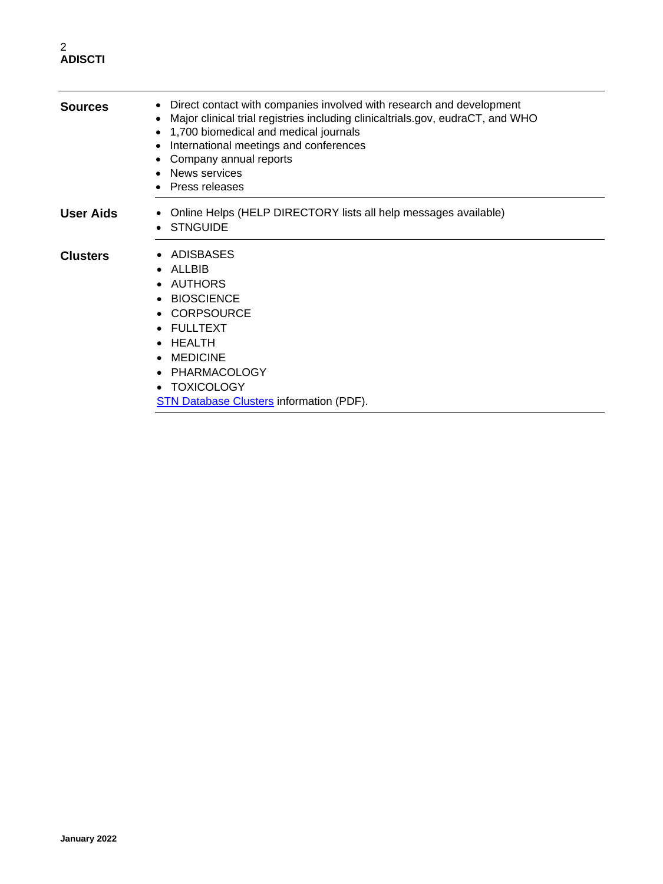#### 2 **ADISCTI**

| <b>Sources</b>   | Direct contact with companies involved with research and development<br>$\bullet$<br>Major clinical trial registries including clinicaltrials.gov, eudraCT, and WHO<br>1,700 biomedical and medical journals<br>International meetings and conferences<br>Company annual reports<br>News services<br><b>Press releases</b> |
|------------------|----------------------------------------------------------------------------------------------------------------------------------------------------------------------------------------------------------------------------------------------------------------------------------------------------------------------------|
| <b>User Aids</b> | Online Helps (HELP DIRECTORY lists all help messages available)<br>$\bullet$<br><b>STNGUIDE</b>                                                                                                                                                                                                                            |
| <b>Clusters</b>  | ADISBASES<br>ALLBIB<br>$\bullet$<br>AUTHORS<br><b>BIOSCIENCE</b><br>$\bullet$<br><b>CORPSOURCE</b><br><b>FULLTEXT</b><br>$\bullet$<br>HEALTH<br>$\bullet$<br><b>MEDICINE</b><br>$\bullet$<br>PHARMACOLOGY<br>$\bullet$<br><b>TOXICOLOGY</b><br>$\bullet$<br><b>STN Database Clusters information (PDF).</b>                |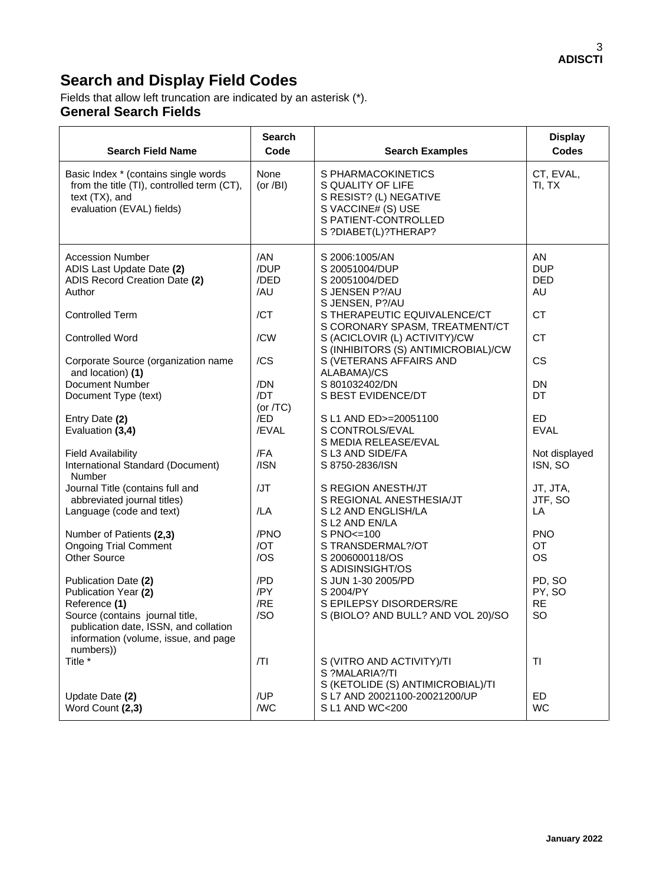# **Search and Display Field Codes**

#### Fields that allow left truncation are indicated by an asterisk (\*). **General Search Fields**

| <b>Search Field Name</b>                                                                                                          | <b>Search</b><br>Code       | <b>Search Examples</b>                                                                                                                  | <b>Display</b><br><b>Codes</b>              |
|-----------------------------------------------------------------------------------------------------------------------------------|-----------------------------|-----------------------------------------------------------------------------------------------------------------------------------------|---------------------------------------------|
| Basic Index * (contains single words<br>from the title (TI), controlled term (CT),<br>text (TX), and<br>evaluation (EVAL) fields) | None<br>(or $/BI$ )         | S PHARMACOKINETICS<br>S QUALITY OF LIFE<br>S RESIST? (L) NEGATIVE<br>S VACCINE# (S) USE<br>S PATIENT-CONTROLLED<br>S ?DIABET(L)?THERAP? | CT, EVAL,<br>TI, TX                         |
| <b>Accession Number</b><br>ADIS Last Update Date (2)<br>ADIS Record Creation Date (2)<br>Author                                   | /AN<br>/DUP<br>/DED<br>/AU  | S 2006:1005/AN<br>S 20051004/DUP<br>S 20051004/DED<br>S JENSEN P?/AU<br>S JENSEN, P?/AU                                                 | <b>AN</b><br><b>DUP</b><br><b>DED</b><br>AU |
| <b>Controlled Term</b><br><b>Controlled Word</b>                                                                                  | /CT<br>/CW                  | S THERAPEUTIC EQUIVALENCE/CT<br>S CORONARY SPASM, TREATMENT/CT<br>S (ACICLOVIR (L) ACTIVITY)/CW                                         | <b>CT</b><br><b>CT</b>                      |
| Corporate Source (organization name                                                                                               | /CS                         | S (INHIBITORS (S) ANTIMICROBIAL)/CW<br>S (VETERANS AFFAIRS AND                                                                          | <b>CS</b>                                   |
| and location) (1)<br>Document Number<br>Document Type (text)                                                                      | /DN<br>/DT                  | ALABAMA)/CS<br>S 801032402/DN<br>S BEST EVIDENCE/DT                                                                                     | <b>DN</b><br>DT                             |
| Entry Date (2)<br>Evaluation (3,4)                                                                                                | (or $/TC$ )<br>/ED<br>/EVAL | S L1 AND ED>=20051100<br>S CONTROLS/EVAL<br>S MEDIA RELEASE/EVAL                                                                        | ED<br><b>EVAL</b>                           |
| <b>Field Availability</b><br>International Standard (Document)<br>Number                                                          | /FA<br>/ISN                 | S L3 AND SIDE/FA<br>S 8750-2836/ISN                                                                                                     | Not displayed<br>ISN, SO                    |
| Journal Title (contains full and<br>abbreviated journal titles)<br>Language (code and text)                                       | /JT<br>/LA                  | S REGION ANESTH/JT<br>S REGIONAL ANESTHESIA/JT<br>S L2 AND ENGLISH/LA                                                                   | JT, JTA,<br>JTF, SO<br>LA                   |
| Number of Patients (2,3)                                                                                                          | /PNO                        | S L2 AND EN/LA<br>$S PNO <= 100$                                                                                                        | <b>PNO</b>                                  |
| <b>Ongoing Trial Comment</b><br><b>Other Source</b>                                                                               | /OT<br>/OS                  | S TRANSDERMAL?/OT<br>S 2006000118/OS<br>S ADISINSIGHT/OS                                                                                | OT<br><b>OS</b>                             |
| Publication Date (2)<br>Publication Year (2)<br>Reference (1)                                                                     | /PD<br>/PY<br>/RE           | S JUN 1-30 2005/PD<br>S 2004/PY<br>S EPILEPSY DISORDERS/RE                                                                              | PD, SO<br>PY, SO<br><b>RE</b>               |
| Source (contains journal title,<br>publication date, ISSN, and collation<br>information (volume, issue, and page                  | /SO                         | S (BIOLO? AND BULL? AND VOL 20)/SO                                                                                                      | SO                                          |
| numbers))<br>Title *                                                                                                              | T                           | S (VITRO AND ACTIVITY)/TI<br>S ?MALARIA?/TI                                                                                             | TI                                          |
| Update Date (2)<br>Word Count (2,3)                                                                                               | /UP<br>/WC                  | S (KETOLIDE (S) ANTIMICROBIAL)/TI<br>S L7 AND 20021100-20021200/UP<br>S L1 AND WC<200                                                   | ED<br><b>WC</b>                             |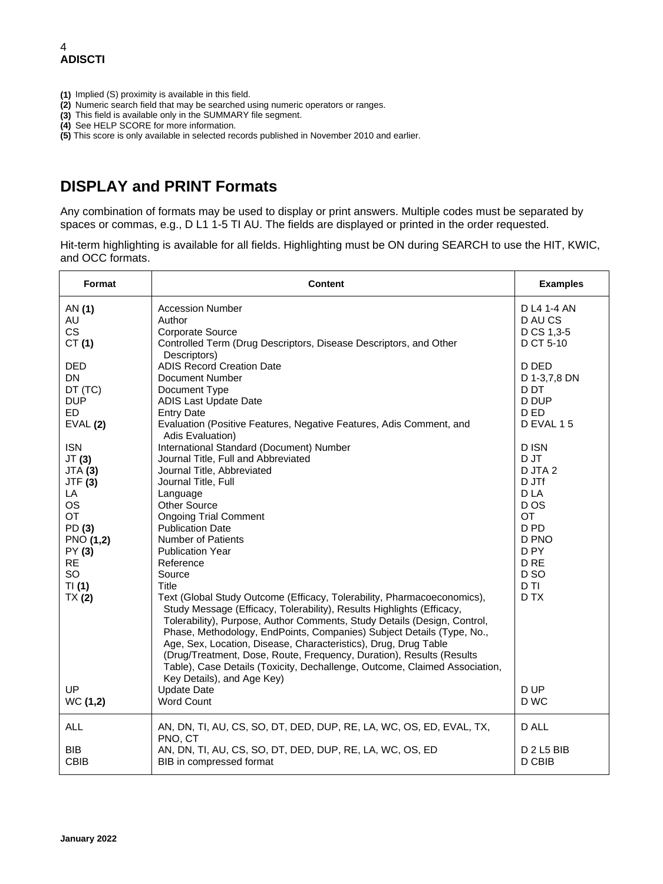- **(1)** Implied (S) proximity is available in this field.
- **(2)** Numeric search field that may be searched using numeric operators or ranges.
- **(3)** This field is available only in the SUMMARY file segment.
- **(4)** See HELP SCORE for more information.

**(5)** This score is only available in selected records published in November 2010 and earlier.

### **DISPLAY and PRINT Formats**

Any combination of formats may be used to display or print answers. Multiple codes must be separated by spaces or commas, e.g., D L1 1-5 TI AU. The fields are displayed or printed in the order requested.

Hit-term highlighting is available for all fields. Highlighting must be ON during SEARCH to use the HIT, KWIC, and OCC formats.

| Format                                                                                                                                          | <b>Content</b>                                                                                                                                                                                                                                                                                                                                                                                                                                                                                                                                                                                                                                                                                                                                                                                                                                                                                                 | <b>Examples</b>                                                                                                                                                                |
|-------------------------------------------------------------------------------------------------------------------------------------------------|----------------------------------------------------------------------------------------------------------------------------------------------------------------------------------------------------------------------------------------------------------------------------------------------------------------------------------------------------------------------------------------------------------------------------------------------------------------------------------------------------------------------------------------------------------------------------------------------------------------------------------------------------------------------------------------------------------------------------------------------------------------------------------------------------------------------------------------------------------------------------------------------------------------|--------------------------------------------------------------------------------------------------------------------------------------------------------------------------------|
| AN (1)<br>AU<br><b>CS</b><br>CT(1)                                                                                                              | <b>Accession Number</b><br>Author<br><b>Corporate Source</b><br>Controlled Term (Drug Descriptors, Disease Descriptors, and Other                                                                                                                                                                                                                                                                                                                                                                                                                                                                                                                                                                                                                                                                                                                                                                              | D L4 1-4 AN<br>D AU CS<br>D CS 1,3-5<br>D CT 5-10                                                                                                                              |
| <b>DED</b><br><b>DN</b><br>DT (TC)<br><b>DUP</b><br><b>ED</b><br>EVAL(2)                                                                        | Descriptors)<br><b>ADIS Record Creation Date</b><br>Document Number<br>Document Type<br><b>ADIS Last Update Date</b><br><b>Entry Date</b><br>Evaluation (Positive Features, Negative Features, Adis Comment, and                                                                                                                                                                                                                                                                                                                                                                                                                                                                                                                                                                                                                                                                                               | D DED<br>D 1-3,7,8 DN<br>D <sub>D</sub> T<br>D DUP<br>D ED<br>D EVAL 15                                                                                                        |
| <b>ISN</b><br>JT(3)<br><b>JTA (3)</b><br><b>JTF (3)</b><br>LA<br>OS<br>OT<br>PD (3)<br>PNO (1,2)<br>PY (3)<br><b>RE</b><br>SO<br>TI(1)<br>TX(2) | Adis Evaluation)<br>International Standard (Document) Number<br>Journal Title, Full and Abbreviated<br>Journal Title, Abbreviated<br>Journal Title, Full<br>Language<br><b>Other Source</b><br><b>Ongoing Trial Comment</b><br><b>Publication Date</b><br><b>Number of Patients</b><br><b>Publication Year</b><br>Reference<br>Source<br>Title<br>Text (Global Study Outcome (Efficacy, Tolerability, Pharmacoeconomics),<br>Study Message (Efficacy, Tolerability), Results Highlights (Efficacy,<br>Tolerability), Purpose, Author Comments, Study Details (Design, Control,<br>Phase, Methodology, EndPoints, Companies) Subject Details (Type, No.,<br>Age, Sex, Location, Disease, Characteristics), Drug, Drug Table<br>(Drug/Treatment, Dose, Route, Frequency, Duration), Results (Results<br>Table), Case Details (Toxicity, Dechallenge, Outcome, Claimed Association,<br>Key Details), and Age Key) | D ISN<br>D JT<br>D JTA 2<br>D JTf<br>D LA<br>D OS<br><b>OT</b><br>D <sub>PD</sub><br>D PNO<br>D <sub>PY</sub><br>D <sub>RE</sub><br>D <sub>SO</sub><br>D <sub>TI</sub><br>D TX |
| UP<br>WC (1,2)                                                                                                                                  | <b>Update Date</b><br><b>Word Count</b>                                                                                                                                                                                                                                                                                                                                                                                                                                                                                                                                                                                                                                                                                                                                                                                                                                                                        | D UP<br>D WC                                                                                                                                                                   |
| <b>ALL</b><br><b>BIB</b><br><b>CBIB</b>                                                                                                         | AN, DN, TI, AU, CS, SO, DT, DED, DUP, RE, LA, WC, OS, ED, EVAL, TX,<br>PNO, CT<br>AN, DN, TI, AU, CS, SO, DT, DED, DUP, RE, LA, WC, OS, ED<br>BIB in compressed format                                                                                                                                                                                                                                                                                                                                                                                                                                                                                                                                                                                                                                                                                                                                         | D ALL<br><b>D 2 L5 BIB</b><br>D CBIB                                                                                                                                           |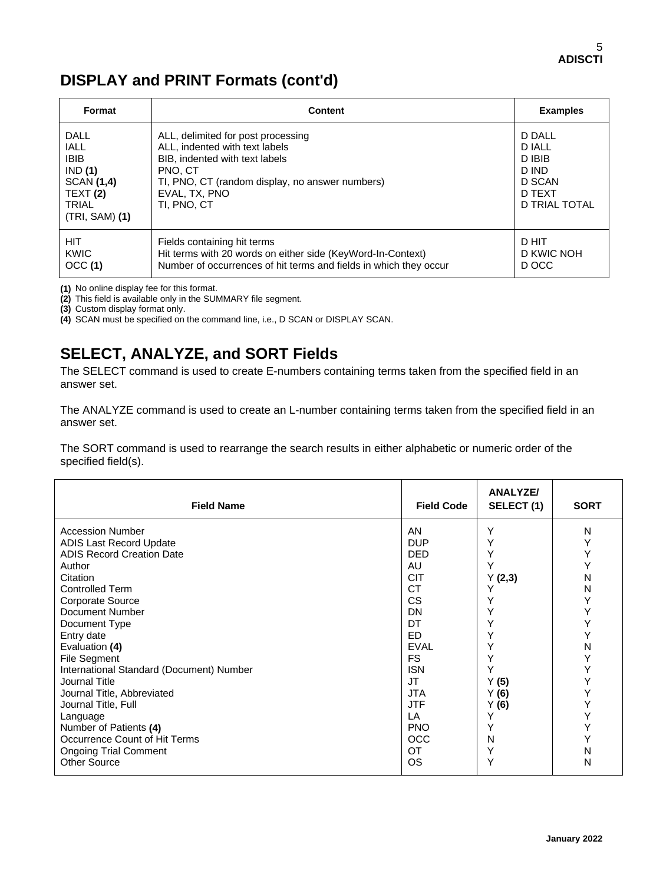## **DISPLAY and PRINT Formats (cont'd)**

| Format                                                                                                  | <b>Content</b>                                                                                                                                                                                       | <b>Examples</b>                                                                 |
|---------------------------------------------------------------------------------------------------------|------------------------------------------------------------------------------------------------------------------------------------------------------------------------------------------------------|---------------------------------------------------------------------------------|
| DALL<br><b>IALL</b><br><b>IBIB</b><br>IND(1)<br>SCAN (1,4)<br>TEXT(2)<br><b>TRIAL</b><br>(TRI, SAM) (1) | ALL, delimited for post processing<br>ALL, indented with text labels<br>BIB, indented with text labels<br>PNO. CT<br>TI, PNO, CT (random display, no answer numbers)<br>EVAL, TX, PNO<br>TI. PNO. CT | D DALL<br><b>D IALL</b><br>D IBIB<br>D IND<br>D SCAN<br>D TEXT<br>D TRIAL TOTAL |
| HIT.<br><b>KWIC</b><br>OCC(1)                                                                           | Fields containing hit terms<br>Hit terms with 20 words on either side (KeyWord-In-Context)<br>Number of occurrences of hit terms and fields in which they occur                                      | D HIT<br>D KWIC NOH<br>D OCC                                                    |

**(1)** No online display fee for this format.

**(2)** This field is available only in the SUMMARY file segment.

**(3)** Custom display format only.

**(4)** SCAN must be specified on the command line, i.e., D SCAN or DISPLAY SCAN.

## **SELECT, ANALYZE, and SORT Fields**

The SELECT command is used to create E-numbers containing terms taken from the specified field in an answer set.

The ANALYZE command is used to create an L-number containing terms taken from the specified field in an answer set.

The SORT command is used to rearrange the search results in either alphabetic or numeric order of the specified field(s).

| AN<br>Υ<br><b>Accession Number</b><br>N<br>Υ<br><b>DUP</b><br>Υ<br>ADIS Last Record Update<br>Y<br><b>ADIS Record Creation Date</b><br>Υ<br><b>DED</b><br>Y<br>Y<br>AU<br>Author<br><b>CIT</b><br>N<br>Y(2,3)<br>Citation<br><b>CT</b><br>Controlled Term<br>Ν<br>Υ<br><b>CS</b><br>Υ<br>Corporate Source<br>Υ<br>Υ<br>Document Number<br>DN<br>Υ<br>DT<br>Υ<br>Document Type<br>Υ<br>ED.<br>Υ<br>Entry date<br>N<br><b>EVAL</b><br>Υ<br>Evaluation (4)<br>Υ<br>FS.<br>File Segment<br>Υ<br>Y<br>Υ<br>International Standard (Document) Number<br><b>ISN</b><br>Y<br><b>JT</b><br>Journal Title<br>Y(5)<br>Y<br><b>JTA</b><br>Y(6)<br>Journal Title, Abbreviated<br>Y<br><b>JTF</b> | <b>Field Name</b>   | <b>Field Code</b> | ANALYZE/<br>SELECT (1) | <b>SORT</b> |
|-------------------------------------------------------------------------------------------------------------------------------------------------------------------------------------------------------------------------------------------------------------------------------------------------------------------------------------------------------------------------------------------------------------------------------------------------------------------------------------------------------------------------------------------------------------------------------------------------------------------------------------------------------------------------------------|---------------------|-------------------|------------------------|-------------|
| Υ<br>Y<br>LA<br>Language<br>Υ<br><b>PNO</b><br>Y<br>Number of Patients (4)<br>Υ<br>Occurrence Count of Hit Terms<br><b>OCC</b><br>N<br>Υ<br>N<br>ОT<br><b>Ongoing Trial Comment</b><br><b>Other Source</b><br>Υ<br><b>OS</b><br>N                                                                                                                                                                                                                                                                                                                                                                                                                                                   | Journal Title, Full |                   | Y(6)                   |             |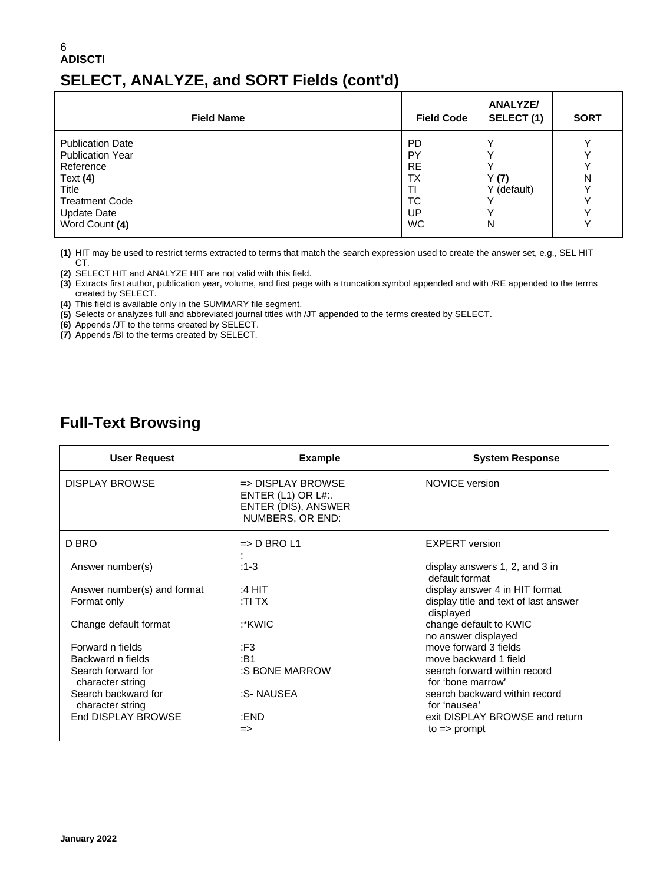#### 6 **ADISCTI SELECT, ANALYZE, and SORT Fields (cont'd)**

| <b>Field Name</b>       | <b>Field Code</b> | <b>ANALYZE/</b><br>SELECT (1) | <b>SORT</b>  |
|-------------------------|-------------------|-------------------------------|--------------|
| <b>Publication Date</b> | <b>PD</b>         |                               | $\check{ }$  |
| <b>Publication Year</b> | PY                |                               | v            |
| Reference               | <b>RE</b>         |                               | v            |
| Text $(4)$              | <b>TX</b>         | Y(7)                          | N            |
| Title                   | ΤI                | Y (default)                   | $\checkmark$ |
| <b>Treatment Code</b>   | <b>TC</b>         |                               | $\checkmark$ |
| <b>Update Date</b>      | UP                |                               | $\checkmark$ |
| Word Count (4)          | <b>WC</b>         | N                             | $\checkmark$ |

**(1)** HIT may be used to restrict terms extracted to terms that match the search expression used to create the answer set, e.g., SEL HIT CT.

**(2)** SELECT HIT and ANALYZE HIT are not valid with this field.

**(3)** Extracts first author, publication year, volume, and first page with a truncation symbol appended and with /RE appended to the terms created by SELECT.

**(4)** This field is available only in the SUMMARY file segment.

**(5)** Selects or analyzes full and abbreviated journal titles with /JT appended to the terms created by SELECT.

**(6)** Appends /JT to the terms created by SELECT.

**(7)** Appends /BI to the terms created by SELECT.

### **Full-Text Browsing**

| User Request                            | <b>Example</b>                                                                                     | <b>System Response</b>                             |
|-----------------------------------------|----------------------------------------------------------------------------------------------------|----------------------------------------------------|
| <b>DISPLAY BROWSE</b>                   | $\Rightarrow$ DISPLAY BROWSE<br>ENTER $(L1)$ OR $L#$ :.<br>ENTER (DIS), ANSWER<br>NUMBERS, OR END: | <b>NOVICE</b> version                              |
| D BRO                                   | $\Rightarrow$ D BRO L1                                                                             | <b>EXPERT</b> version                              |
| Answer number(s)                        | $:1-3$                                                                                             | display answers 1, 2, and 3 in<br>default format   |
| Answer number(s) and format             | :4 HIT                                                                                             | display answer 4 in HIT format                     |
| Format only                             | :TI TX                                                                                             | display title and text of last answer<br>displayed |
| Change default format                   | :*KWIC                                                                                             | change default to KWIC<br>no answer displayed      |
| Forward n fields                        | :F3                                                                                                | move forward 3 fields                              |
| Backward n fields                       | :B1                                                                                                | move backward 1 field                              |
| Search forward for<br>character string  | :S BONE MARROW                                                                                     | search forward within record<br>for 'bone marrow'  |
| Search backward for<br>character string | :S- NAUSEA                                                                                         | search backward within record<br>for 'nausea'      |
| End DISPLAY BROWSE                      | :FND                                                                                               | exit DISPLAY BROWSE and return                     |
|                                         | $\Rightarrow$                                                                                      | $to \Rightarrow$ prompt                            |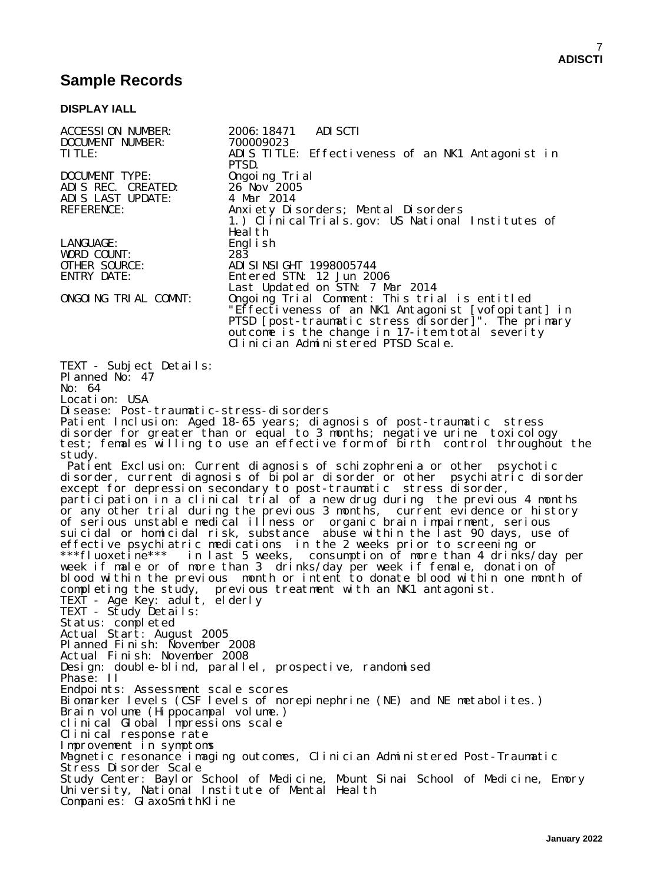## **Sample Records**

#### **DISPLAY IALL**

| <b>ACCESSION NUMBER:</b><br>DOCUMENT NUMBER: | 2006: 18471<br><b>ADI SCTI</b><br>700009023                                                                                                                  |
|----------------------------------------------|--------------------------------------------------------------------------------------------------------------------------------------------------------------|
| <b>TITLE:</b>                                | ADIS TITLE: Effectiveness of an NK1 Antagonist in<br>PTSD.                                                                                                   |
| <b>DOCUMENT TYPE:</b>                        | Ongoing Trial                                                                                                                                                |
| ADIS REC. CREATED:                           | $26$ Nov $2005$                                                                                                                                              |
| ADIS LAST UPDATE:                            | 4 Mar 2014                                                                                                                                                   |
| <b>REFERENCE:</b>                            | Anxiety Disorders; Mental Disorders<br>1.) Clinical Trials.gov: US National Institutes of                                                                    |
| LANGUAGE:                                    | Heal th<br>Engl i sh                                                                                                                                         |
| WORD COUNT:                                  | $28\bar{3}$                                                                                                                                                  |
| <b>OTHER SOURCE:</b>                         | ADI SI NSI GHT 1998005744                                                                                                                                    |
| <b>ENTRY DATE:</b>                           | Entered STN: 12 Jun 2006                                                                                                                                     |
|                                              | Last Updated on STN: 7 Mar 2014                                                                                                                              |
| ONGOING TRIAL COMNT:                         | Ongoing Trial Comment: This trial is entitled                                                                                                                |
|                                              | "Effectiveness of an NK1 Antagonist [vofopitant] in                                                                                                          |
|                                              | PTSD [post-traumatic stress disorder]". The primary                                                                                                          |
|                                              | outcome is the change in 17-item total severity<br>Clinician Administered PTSD Scale.                                                                        |
|                                              |                                                                                                                                                              |
| TEXT - Subject Details:<br>Pl anned No: 47   |                                                                                                                                                              |
| No: 64                                       |                                                                                                                                                              |
| Location: USA                                |                                                                                                                                                              |
| Disease: Post-traumatic-stress-disorders     |                                                                                                                                                              |
|                                              | Patient Inclusion: Aged 18-65 years; diagnosis of post-traumatic stress                                                                                      |
|                                              | disorder for greater than or equal to 3 months; negative urine toxicology                                                                                    |
|                                              | test; females willing to use an effective form of birth control throughout the                                                                               |
| study.                                       |                                                                                                                                                              |
|                                              | Patient Exclusion: Current diagnosis of schizophrenia or other psychotic                                                                                     |
|                                              | disorder, current diagnosis of bipolar disorder or other psychiatric disorder                                                                                |
|                                              | except for depression secondary to post-traumatic stress disorder,                                                                                           |
|                                              | participation in a clinical trial of a new drug during the previous 4 months<br>or any other trial during the previous 3 months, current evidence or history |
|                                              | of serious unstable medical illness or organic brain impairment, serious                                                                                     |
|                                              | suicidal or homicidal risk, substance abuse within the last 90 days, use of                                                                                  |
|                                              | effective psychiatric medications in the 2 weeks prior to screening or                                                                                       |
|                                              | ***fluoxetine*** in last 5 weeks, consumption of more than 4 drinks/day per                                                                                  |
|                                              | week if male or of more than 3 drinks/day per week if female, donation of                                                                                    |
|                                              | blood within the previous month or intent to donate blood within one month of                                                                                |
|                                              | completing the study, previous treatment with an NK1 antagonist.                                                                                             |
| TEXT - Age Key: adult, elderly               |                                                                                                                                                              |
| TEXT - Study Details:                        |                                                                                                                                                              |
| Status: completed                            |                                                                                                                                                              |
| Actual Start: August 2005                    |                                                                                                                                                              |
| Planned Finish: November 2008                |                                                                                                                                                              |
| Actual Finish: November 2008                 | Design: double-blind, parallel, prospective, randomised                                                                                                      |
| Phase: II                                    |                                                                                                                                                              |
| Endpoints: Assessment scale scores           |                                                                                                                                                              |
|                                              | Biomarker levels (CSF levels of norepinephrine (NE) and NE metabolites.)                                                                                     |
| Brain volume (Hippocampal volume.)           |                                                                                                                                                              |
| clinical Global Impressions scale            |                                                                                                                                                              |
| Clinical response rate                       |                                                                                                                                                              |
| Improvement in symptoms                      |                                                                                                                                                              |
|                                              | Magnetic resonance imaging outcomes, Clinician Administered Post-Traumatic                                                                                   |
| Stress Disorder Scale                        |                                                                                                                                                              |
|                                              | Study Center: Baylor School of Medicine, Mount Sinai School of Medicine, Emory                                                                               |
|                                              | University, National Institute of Mental Health                                                                                                              |
| Companies: GlaxoSmithKline                   |                                                                                                                                                              |